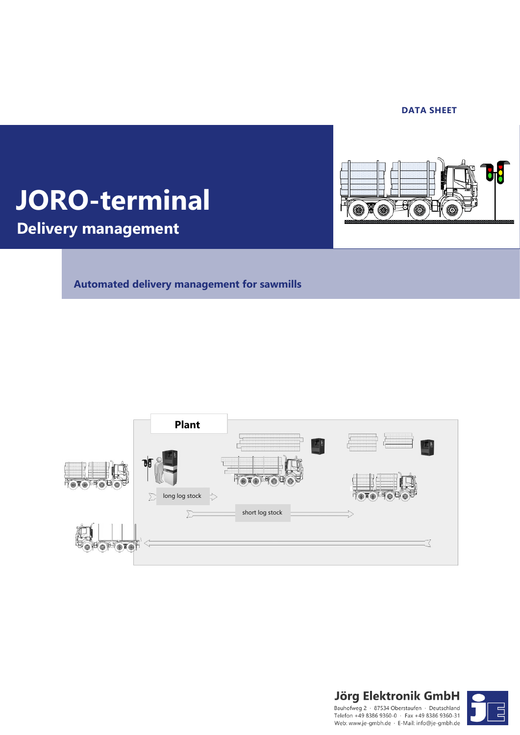#### **DATA SHEET**



## **JORO-terminal**

**Delivery management**

**Automated delivery management for sawmills**





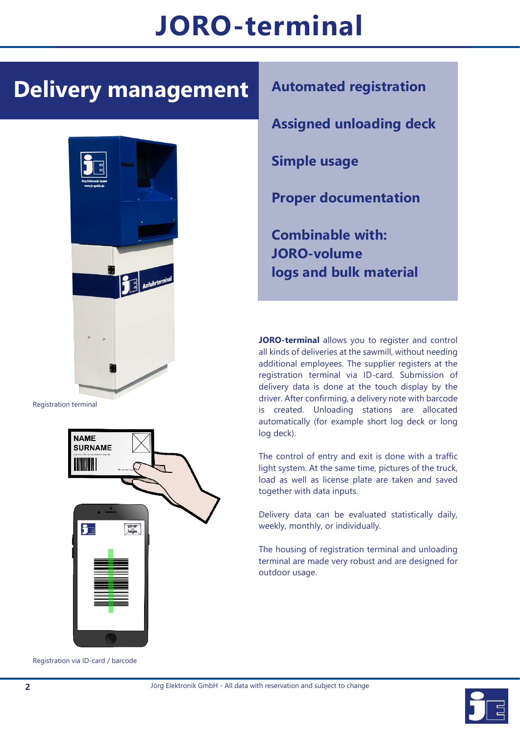# **JORO-terminal**

l

## **Delivery management**



Registration terminal



Registration via ID-card / barcode



**Assigned unloading deck**

**Simple usage**

**Proper documentation**

**Combinable with: JORO-volume logs and bulk material**

**JORO-terminal** allows you to register and control all kinds of deliveries at the sawmill, without needing additional employees. The supplier registers at the registration terminal via ID-card. Submission of delivery data is done at the touch display by the driver. After confirming, a delivery note with barcode is created. Unloading stations are allocated automatically (for example short log deck or long log deck).

The control of entry and exit is done with a traffic light system. At the same time, pictures of the truck, load as well as license plate are taken and saved together with data inputs.

Delivery data can be evaluated statistically daily, weekly, monthly, or individually.

The housing of registration terminal and unloading terminal are made very robust and are designed for outdoor usage.